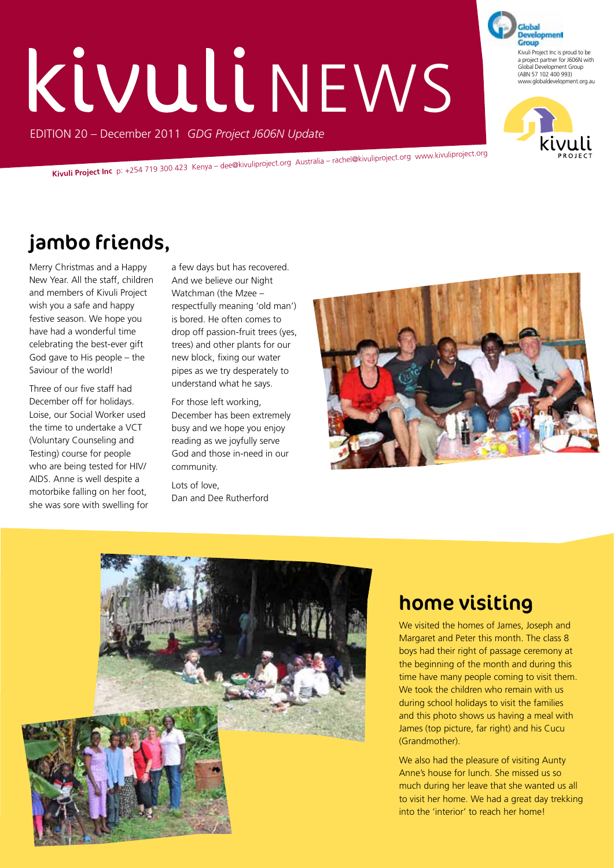# KIVULI NEWS

EDITION 20 – December 2011 *GDG Project J606N Update*

**Kivuli Project Inc** p: +254 719 300 423 Kenya – dee@kivuliproject.org Australia – rachel@kivuliproject.org www.kivuliproject.org

# jambo friends,

Merry Christmas and a Happy New Year. All the staff, children and members of Kivuli Project wish you a safe and happy festive season. We hope you have had a wonderful time celebrating the best-ever gift God gave to His people – the Saviour of the world!

Three of our five staff had December off for holidays. Loise, our Social Worker used the time to undertake a VCT (Voluntary Counseling and Testing) course for people who are being tested for HIV/ AIDS. Anne is well despite a motorbike falling on her foot, she was sore with swelling for a few days but has recovered. And we believe our Night Watchman (the Mzee – respectfully meaning 'old man') is bored. He often comes to drop off passion-fruit trees (yes, trees) and other plants for our new block, fixing our water pipes as we try desperately to understand what he says.

For those left working, December has been extremely busy and we hope you enjoy reading as we joyfully serve God and those in-need in our community.

Lots of love, Dan and Dee Rutherford





# home visiting

We visited the homes of James, Joseph and Margaret and Peter this month. The class 8 boys had their right of passage ceremony at the beginning of the month and during this time have many people coming to visit them. We took the children who remain with us during school holidays to visit the families and this photo shows us having a meal with James (top picture, far right) and his Cucu (Grandmother).

We also had the pleasure of visiting Aunty Anne's house for lunch. She missed us so much during her leave that she wanted us all to visit her home. We had a great day trekking into the 'interior' to reach her home!



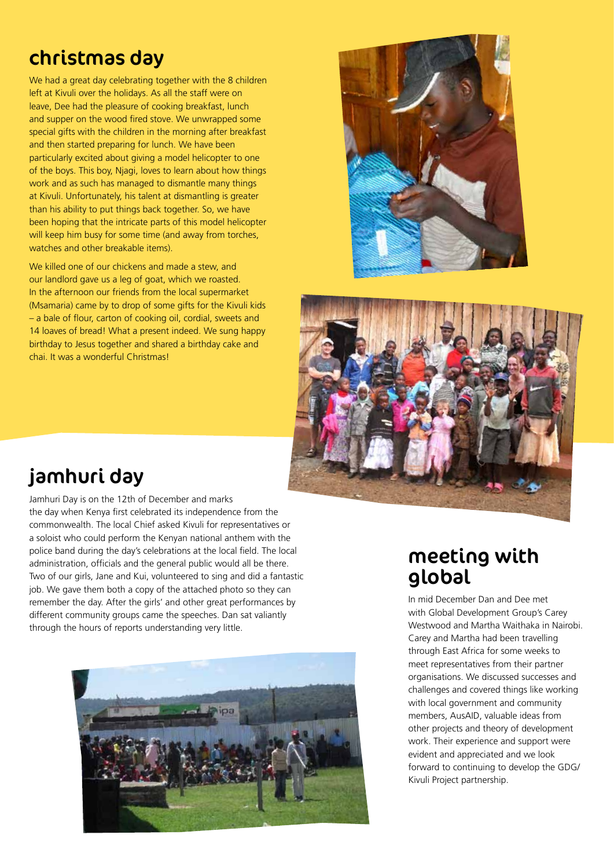# christmas day

We had a great day celebrating together with the 8 children left at Kivuli over the holidays. As all the staff were on leave, Dee had the pleasure of cooking breakfast, lunch and supper on the wood fired stove. We unwrapped some special gifts with the children in the morning after breakfast and then started preparing for lunch. We have been particularly excited about giving a model helicopter to one of the boys. This boy, Njagi, loves to learn about how things work and as such has managed to dismantle many things at Kivuli. Unfortunately, his talent at dismantling is greater than his ability to put things back together. So, we have been hoping that the intricate parts of this model helicopter will keep him busy for some time (and away from torches, watches and other breakable items).

We killed one of our chickens and made a stew, and our landlord gave us a leg of goat, which we roasted. In the afternoon our friends from the local supermarket (Msamaria) came by to drop of some gifts for the Kivuli kids – a bale of flour, carton of cooking oil, cordial, sweets and 14 loaves of bread! What a present indeed. We sung happy birthday to Jesus together and shared a birthday cake and chai. It was a wonderful Christmas!





### jamhuri day

Jamhuri Day is on the 12th of December and marks the day when Kenya first celebrated its independence from the commonwealth. The local Chief asked Kivuli for representatives or a soloist who could perform the Kenyan national anthem with the police band during the day's celebrations at the local field. The local administration, officials and the general public would all be there. Two of our girls, Jane and Kui, volunteered to sing and did a fantastic job. We gave them both a copy of the attached photo so they can remember the day. After the girls' and other great performances by different community groups came the speeches. Dan sat valiantly through the hours of reports understanding very little.



#### meeting with global

In mid December Dan and Dee met with Global Development Group's Carey Westwood and Martha Waithaka in Nairobi. Carey and Martha had been travelling through East Africa for some weeks to meet representatives from their partner organisations. We discussed successes and challenges and covered things like working with local government and community members, AusAID, valuable ideas from other projects and theory of development work. Their experience and support were evident and appreciated and we look forward to continuing to develop the GDG/ Kivuli Project partnership.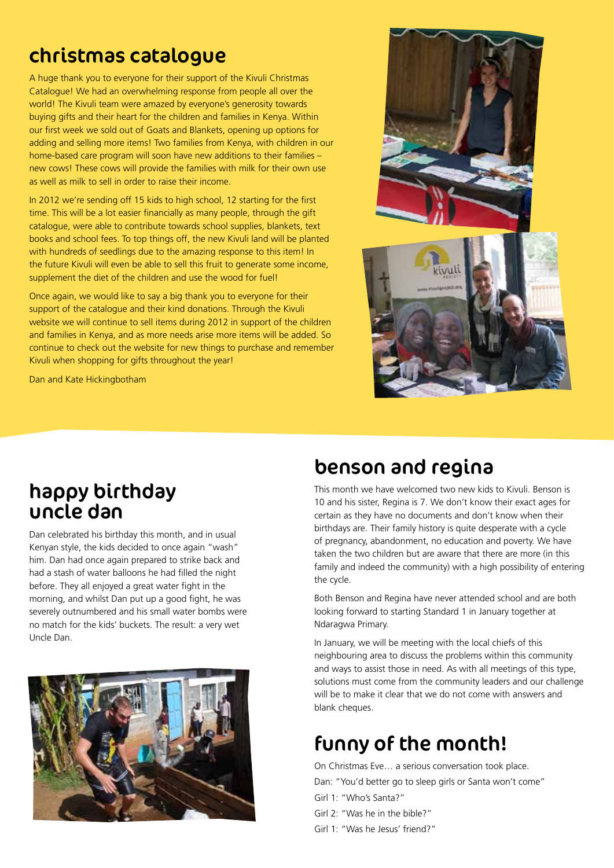## christmas catalogue

A huge thank you to everyone for their support of the Kivuli Christmas Catalogue! We had an overwhelming response from people all over the world! The Kivuli team were amazed by everyone's generosity towards buying gifts and their heart for the children and families in Kenya. Within our first week we sold out of Goats and Blankets, opening up options for adding and selling more items! Two families from Kenya, with children in our home-based care program will soon have new additions to their families – new cows! These cows will provide the families with milk for their own use as well as milk to sell in order to raise their income.

In 2012 we're sending off 15 kids to high school, 12 starting for the first time. This will be a lot easier financially as many people, through the gift catalogue, were able to contribute towards school supplies, blankets, text books and school fees. To top things off, the new Kivuli land will be planted with hundreds of seedlings due to the amazing response to this item! In the future Kivuli will even be able to sell this fruit to generate some income, supplement the diet of the children and use the wood for fuel!

Once again, we would like to say a big thank you to everyone for their support of the catalogue and their kind donations. Through the Kivuli website we will continue to sell items during 2012 in support of the children and families in Kenya, and as more needs arise more items will be added. So continue to check out the website for new things to purchase and remember Kivuli when shopping for gifts throughout the year!

Dan and Kate Hickingbotham



#### happy birthday uncle dan

Dan celebrated his birthday this month, and in usual Kenyan style, the kids decided to once again "wash" him. Dan had once again prepared to strike back and had a stash of water balloons he had filled the night before. They all enjoyed a great water fight in the morning, and whilst Dan put up a good fight, he was severely outnumbered and his small water bombs were no match for the kids' buckets. The result: a very wet Uncle Dan.



# benson and regina

This month we have welcomed two new kids to Kivuli. Benson is 10 and his sister, Regina is 7. We don't know their exact ages for certain as they have no documents and don't know when their birthdays are. Their family history is quite desperate with a cycle of pregnancy, abandonment, no education and poverty. We have taken the two children but are aware that there are more (in this family and indeed the community) with a high possibility of entering the cycle.

Both Benson and Regina have never attended school and are both looking forward to starting Standard 1 in January together at Ndaragwa Primary.

In January, we will be meeting with the local chiefs of this neighbouring area to discuss the problems within this community and ways to assist those in need. As with all meetings of this type, solutions must come from the community leaders and our challenge will be to make it clear that we do not come with answers and blank cheques.

# funny of the month!

On Christmas Eve… a serious conversation took place. Dan: "You'd better go to sleep girls or Santa won't come" Girl 1: "Who's Santa?" Girl 2: "Was he in the bible?" Girl 1: "Was he Jesus' friend?"